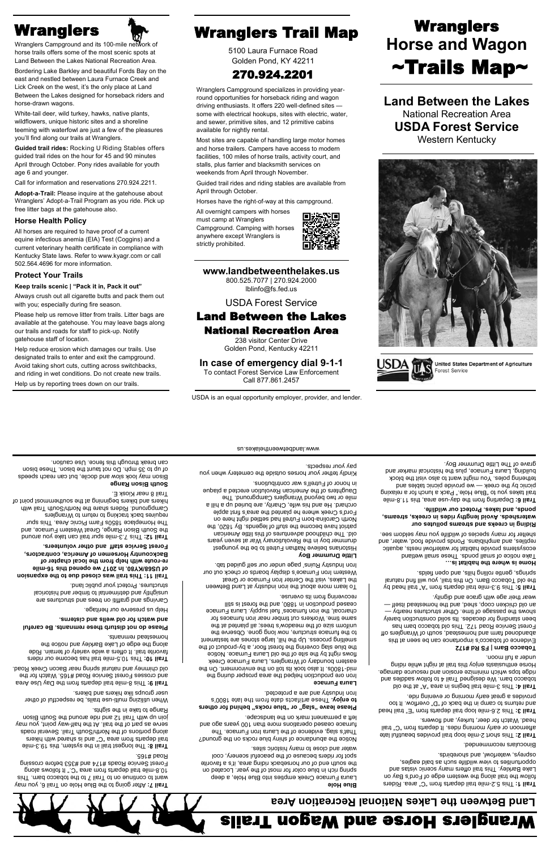Wranglers Campground and its 100-mile network of horse trails offers some of the most scenic spots at Land Between the Lakes National Recreation Area.

Bordering Lake Barkley and beautiful Fords Bay on the east and nestled between Laura Furnace Creek and Lick Creek on the west, it's the only place at Land Between the Lakes designed for horseback riders and horse-drawn wagons.

White-tail deer, wild turkey, hawks, native plants, wildflowers, unique historic sites and a shoreline teeming with waterfowl are just a few of the pleasures you'll find along our trails at Wranglers.

**Guided trail rides:** Rocking U Riding Stables offers guided trail rides on the hour for 45 and 90 minutes April through October. Pony rides available for youth age 6 and younger.

Call for information and reservations 270.924.2211.

**Adopt-a-Trail:** Please inquire at the gatehouse about Wranglers' Adopt-a-Trail Program as you ride. Pick up free litter bags at the gatehouse also.

#### **Horse Health Policy**

All horses are required to have proof of a current equine infectious anemia (EIA) Test (Coggins) and a current veterinary health certificate in compliance with Kentucky State laws. Refer to www.kyagr.com or call 502.564.4696 for more information.

### **Protect Your Trails**

#### **Keep trails scenic | "Pack it in, Pack it out"**

Always crush out all cigarette butts and pack them out with you; especially during fire season.

Please help us remove litter from trails. Litter bags are available at the gatehouse. You may leave bags along our trails and roads for staff to pick-up. Notify gatehouse staff of location.

Help reduce erosion which damages our trails. Use designated trails to enter and exit the campground. Avoid taking short cuts, cutting across switchbacks, and riding in wet conditions. Do not create new trails. Help us by reporting trees down on our trails.

## Wranglers **Music Wranglers Trail Map**

5100 Laura Furnace Road Golden Pond, KY 42211

## 270.924.2201

Wranglers Campground specializes in providing yearround opportunities for horseback riding and wagon driving enthusiasts. It offers 220 well-defined sites some with electrical hookups, sites with electric, water, and sewer, primitive sites, and 12 primitive cabins available for nightly rental.

Most sites are capable of handling large motor homes and horse trailers. Campers have access to modern facilities, 100 miles of horse trails, activity court, and stalls, plus farrier and blacksmith services on weekends from April through November.

Guided trail rides and riding stables are available from April through October.

Horses have the right-of-way at this campground.

All overnight campers with horses must camp at Wranglers Campground. Camping with horses anywhere except Wranglers is strictly prohibited.



## **www.landbetweenthelakes.us**

800.525.7077 | 270.924.2000 lblinfo@fs.fed.us

### USDA Forest Service

## Land Between the Lakes National Recreation Area

238 visitor Center Drive Golden Pond, Kentucky 42211

## **In case of emergency dial 9-1-1**

To contact Forest Service Law Enforcement Call 877.861.2457

# **Wranglers Horse and Wagon** ~Trails Map~

**Land Between the Lakes** National Recreation Area **USDA Forest Service** Western Kentucky





United States Department of Agriculture Forest Service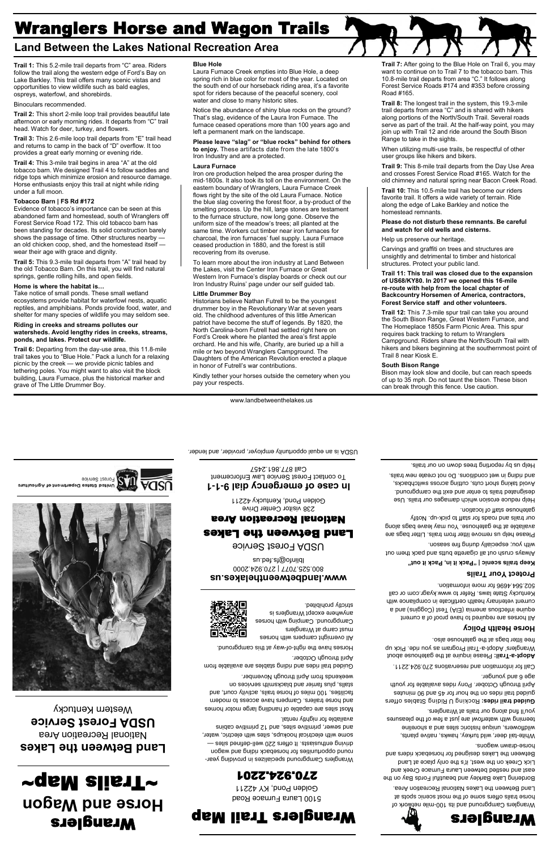## Wranglers Horse and Wagon Trails

## **Land Between the Lakes National Recreation Area**

**Trail 1:** This 5.2-mile trail departs from "C" area. Riders follow the trail along the western edge of Ford's Bay on Lake Barkley. This trail offers many scenic vistas and opportunities to view wildlife such as bald eagles, ospreys, waterfowl, and shorebirds.

#### Binoculars recommended.

**Trail 2:** This short 2-mile loop trail provides beautiful late afternoon or early morning rides. It departs from "C" trail head. Watch for deer, turkey, and flowers.

**Trail 3:** This 2.6-mile loop trail departs from "E" trail head and returns to camp in the back of "D" overflow. It too provides a great early morning or evening ride.

**Trail 4:** This 3-mile trail begins in area "A" at the old tobacco barn. We designed Trail 4 to follow saddles and ridge tops which minimize erosion and resource damage. Horse enthusiasts enjoy this trail at night while riding under a full moon.

#### **Tobacco Barn | FS Rd #172**

Evidence of tobacco's importance can be seen at this abandoned farm and homestead, south of Wranglers off Forest Service Road 172. This old tobacco barn has been standing for decades. Its solid construction barely shows the passage of time. Other structures nearby an old chicken coop, shed, and the homestead itself wear their age with grace and dignity.

**Trail 5:** This 9.3-mile trail departs from "A" trail head by the old Tobacco Barn. On this trail, you will find natural springs, gentle rolling hills, and open fields.

#### **Home is where the habitat is…**

Take notice of small ponds. These small wetland ecosystems provide habitat for waterfowl nests, aquatic reptiles, and amphibians. Ponds provide food, water, and shelter for many species of wildlife you may seldom see.

#### **Riding in creeks and streams pollutes our watersheds. Avoid lengthy rides in creeks, streams, ponds, and lakes. Protect our wildlife.**

**Trail 6:** Departing from the day-use area, this 11.8-mile trail takes you to "Blue Hole." Pack a lunch for a relaxing picnic by the creek — we provide picnic tables and tethering poles. You might want to also visit the block building, Laura Furnace, plus the historical marker and grave of The Little Drummer Boy.

#### **Blue Hole**

Laura Furnace Creek empties into Blue Hole, a deep spring rich in blue color for most of the year. Located on the south end of our horseback riding area, it's a favorite spot for riders because of the peaceful scenery, cool water and close to many historic sites.

Notice the abundance of shiny blue rocks on the ground? That's slag, evidence of the Laura Iron Furnace. The furnace ceased operations more than 100 years ago and left a permanent mark on the landscape.

**Please leave "slag" or "blue rocks" behind for others to enjoy.** These artifacts date from the late 1800's Iron Industry and are a protected.

#### **Laura Furnace**

Iron ore production helped the area prosper during the mid-1800s. It also took its toll on the environment. On the eastern boundary of Wranglers, Laura Furnace Creek flows right by the site of the old Laura Furnace. Notice the blue slag covering the forest floor, a by-product of the smelting process. Up the hill, large stones are testament to the furnace structure, now long gone. Observe the uniform size of the meadow's trees; all planted at the same time. Workers cut timber near iron furnaces for charcoal, the iron furnaces' fuel supply. Laura Furnace ceased production in 1880, and the forest is still recovering from its overuse.

To learn more about the iron industry at Land Between the Lakes, visit the Center Iron Furnace or Great Western Iron Furnace's display boards or check out our Iron Industry Ruins' page under our self guided tab.

#### **Little Drummer Boy**

Historians believe Nathan Futrell to be the youngest drummer boy in the Revolutionary War at seven years old. The childhood adventures of this little American patriot have become the stuff of legends. By 1820, the North Carolina-born Futrell had settled right here on Ford's Creek where he planted the area's first apple orchard. He and his wife, Charity, are buried up a hill a mile or two beyond Wranglers Campground. The Daughters of the American Revolution erected a plaque in honor of Futrell's war contributions.

Kindly tether your horses outside the cemetery when you pay your respects.

**Trail 7:** After going to the Blue Hole on Trail 6, you may want to continue on to Trail 7 to the tobacco barn. This 10.8-mile trail departs from area "C." It follows along Forest Service Roads #174 and #353 before crossing Road #165.

**Trail 8:** The longest trail in the system, this 19.3-mile trail departs from area "C" and is shared with hikers along portions of the North/South Trail. Several roads serve as part of the trail. At the half-way point, you may join up with Trail 12 and ride around the South Bison Range to take in the sights.

When utilizing multi-use trails, be respectful of other user groups like hikers and bikers.

**Trail 9:** This 8-mile trail departs from the Day Use Area and crosses Forest Service Road #165. Watch for the old chimney and natural spring near Bacon Creek Road.

**Trail 10:** This 10.5-mile trail has become our riders favorite trail. It offers a wide variety of terrain. Ride along the edge of Lake Barkley and notice the homestead remnants.

#### **Please do not disturb these remnants. Be careful and watch for old wells and cisterns.**

Help us preserve our heritage.

Carvings and graffiti on trees and structures are unsightly and detrimental to timber and historical structures. Protect your public land.

**Trail 11: This trail was closed due to the expansion of US68/KY80. In 2017 we opened this 16-mile re-route with help from the local chapter of Backcountry Horsemen of America, contractors, Forest Service staff and other volunteers.**

**Trail 12:** This 7.3-mile spur trail can take you around the South Bison Range, Great Western Furnace, and The Homeplace 1850s Farm Picnic Area. This spur requires back tracking to return to Wranglers Campground. Riders share the North/South Trail with hikers and bikers beginning at the southernmost point of Trail 8 near Kiosk E.

#### **South Bison Range**

Bison may look slow and docile, but can reach speeds of up to 35 mph. Do not taunt the bison. These bison can break through this fence. Use caution.